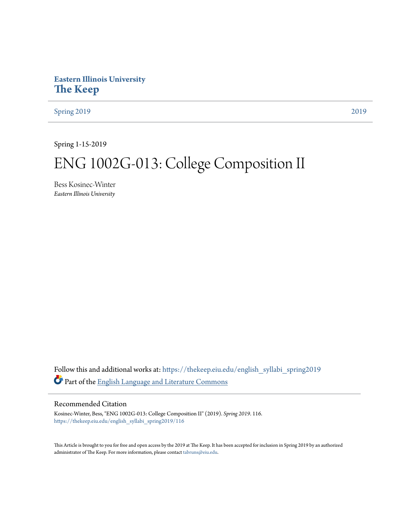## **Eastern Illinois University [The Keep](https://thekeep.eiu.edu?utm_source=thekeep.eiu.edu%2Fenglish_syllabi_spring2019%2F116&utm_medium=PDF&utm_campaign=PDFCoverPages)**

[Spring 2019](https://thekeep.eiu.edu/english_syllabi_spring2019?utm_source=thekeep.eiu.edu%2Fenglish_syllabi_spring2019%2F116&utm_medium=PDF&utm_campaign=PDFCoverPages) [2019](https://thekeep.eiu.edu/english_syllabi2019?utm_source=thekeep.eiu.edu%2Fenglish_syllabi_spring2019%2F116&utm_medium=PDF&utm_campaign=PDFCoverPages)

Spring 1-15-2019

# ENG 1002G-013: College Composition II

Bess Kosinec-Winter *Eastern Illinois University*

Follow this and additional works at: [https://thekeep.eiu.edu/english\\_syllabi\\_spring2019](https://thekeep.eiu.edu/english_syllabi_spring2019?utm_source=thekeep.eiu.edu%2Fenglish_syllabi_spring2019%2F116&utm_medium=PDF&utm_campaign=PDFCoverPages) Part of the [English Language and Literature Commons](http://network.bepress.com/hgg/discipline/455?utm_source=thekeep.eiu.edu%2Fenglish_syllabi_spring2019%2F116&utm_medium=PDF&utm_campaign=PDFCoverPages)

#### Recommended Citation

Kosinec-Winter, Bess, "ENG 1002G-013: College Composition II" (2019). *Spring 2019*. 116. [https://thekeep.eiu.edu/english\\_syllabi\\_spring2019/116](https://thekeep.eiu.edu/english_syllabi_spring2019/116?utm_source=thekeep.eiu.edu%2Fenglish_syllabi_spring2019%2F116&utm_medium=PDF&utm_campaign=PDFCoverPages)

This Article is brought to you for free and open access by the 2019 at The Keep. It has been accepted for inclusion in Spring 2019 by an authorized administrator of The Keep. For more information, please contact [tabruns@eiu.edu.](mailto:tabruns@eiu.edu)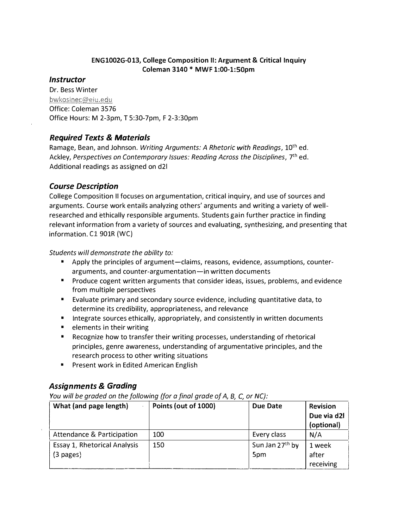#### ENG1002G-013, College Composition II: Argument & Critical Inquiry Coleman 3140 \* MWF 1:00-l:SOpm

#### **Instructor**

Dr. Bess Winter bwkosinec@eiu.edu Office: Coleman 3576 Office Hours: M 2-3pm, T 5:30-7pm, F 2-3:30pm

### Required Texts & Materials

Ramage, Bean, and Johnson. Writing Arguments: A Rhetoric with Readings, 10<sup>th</sup> ed. Ackley, Perspectives on Contemporary Issues: Reading Across the Disciplines,  $7<sup>th</sup>$  ed. Additional readings as assigned on d21

### Course Description

College Composition II focuses on argumentation, critical inquiry, and use of sources and arguments. Course work entails analyzing others' arguments and writing a variety of wellresearched and ethically responsible arguments. Students gain further practice in finding relevant information from a variety of sources and evaluating, synthesizing, and presenting that information. C1 901R (WC)

Students will demonstrate the ability to:

- Apply the principles of argument-claims, reasons, evidence, assumptions, counterarguments, and counter-argumentation-in written documents
- Produce cogent written arguments that consider ideas, issues, problems, and evidence from multiple perspectives
- Evaluate primary and secondary source evidence, including quantitative data, to determine its credibility, appropriateness, and relevance
- Integrate sources ethically, appropriately, and consistently in written documents
- elements in their writing
- Recognize how to transfer their writing processes, understanding of rhetorical principles, genre awareness, understanding of argumentative principles, and the research process to other writing situations
- **•** Present work in Edited American English

## Assignments & Grading

You will be graded on the following (for a final grade of A, B, C, or  $NC$ ):

| What (and page length)       | Points (out of 1000) | Due Date                    | <b>Revision</b> |
|------------------------------|----------------------|-----------------------------|-----------------|
|                              |                      |                             | Due via d2l     |
|                              |                      |                             | (optional)      |
| Attendance & Participation   | 100                  | Every class                 | N/A             |
| Essay 1, Rhetorical Analysis | 150                  | Sun Jan 27 <sup>th</sup> by | 1 week          |
| $(3 \text{ pages})$          |                      | 5pm                         | after           |
|                              |                      |                             | receiving       |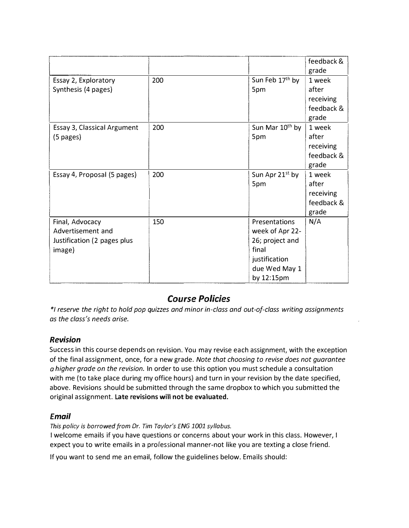|                             |     |                             | feedback & |
|-----------------------------|-----|-----------------------------|------------|
|                             |     |                             | grade      |
| Essay 2, Exploratory        | 200 | Sun Feb 17th by             | 1 week     |
| Synthesis (4 pages)         |     | 5pm                         | after      |
|                             |     |                             | receiving  |
|                             |     |                             | feedback & |
|                             |     |                             | grade      |
| Essay 3, Classical Argument | 200 | Sun Mar 10 <sup>th</sup> by | 1 week     |
| (5 pages)                   |     | 5pm                         | after      |
|                             |     |                             | receiving  |
|                             |     |                             | feedback & |
|                             |     |                             | grade      |
| Essay 4, Proposal (5 pages) | 200 | Sun Apr 21 <sup>st</sup> by | 1 week     |
|                             |     | 5pm                         | after      |
|                             |     |                             | receiving  |
|                             |     |                             | feedback & |
|                             |     |                             | grade      |
| Final, Advocacy             | 150 | Presentations               | N/A        |
| Advertisement and           |     | week of Apr 22-             |            |
| Justification (2 pages plus |     | 26; project and             |            |
| image)                      |     | final                       |            |
|                             |     | justification               |            |
|                             |     | due Wed May 1               |            |
|                             |     | by 12:15pm                  |            |

# Course Policies

\*I reserve the right to hold pop quizzes and minor in-class and out-of-class writing assignments as the class's needs arise.

## Revision

Success in this course depends on revision. You may revise each assignment, with the exception of the final assignment, once, for a new grade. Note that choosing to revise does not guarantee a higher grade on the revision. In order to use this option you must schedule a consultation with me {to take place during my office hours) and turn in your revision by the date specified, above. Revisions should be submitted through the same dropbox to which you submitted the original assignment. Late revisions will not be evaluated.

## Email

This policy is borrowed from Dr. Tim Toy/or's ENG 1001 syllabus.

I welcome emails if you have questions or concerns about your work in this class. However, I expect you to write emails in a professional manner-not like you are texting a close friend.

If you want to send me an email, follow the guidelines below. Emails should: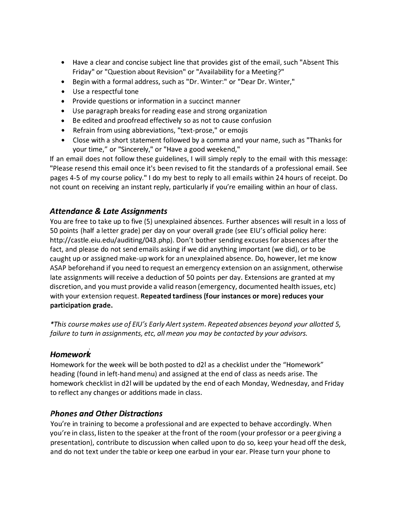- Have a clear and concise subject line that provides gist of the email, such "Absent This Friday" or "Question about Revision" or "Availability for a Meeting?"
- Begin with a formal address, such as "Dr. Winter:" or "Dear Dr. Winter,"
- Use a respectful tone
- Provide questions or information in a succinct manner
- Use paragraph breaks for reading ease and strong organization
- Be edited and proofread effectively so as not to cause confusion
- Refrain from using abbreviations, "text-prose," or emojis
- Close with a short statement followed by a comma and your name, such as "Thanks for your time," or "Sincerely," or "Have a good weekend,"

If an email does not follow these guidelines, I will simply reply to the email with this message: "Please resend this email once it's been revised to fit the standards of a professional email. See pages 4-5 of my course policy." I do my best to reply to all emails within 24 hours of receipt. Do not count on receiving an instant reply, particularly if you're emailing within an hour of class.

## Attendance & Late Assignments

You are free to take up to five (5) unexplained absences. Further absences will result in a loss of 50 points (half a letter grade) per day on your overall grade (see EIU's official policy here: http://castle.eiu.edu/auditing/043.php). Don't bother sending excuses for absences after the fact, and please do not send emails asking if we did anything important (we did), or to be caught up or assigned make-up work for an unexplained absence. Do, however, let me know ASAP beforehand if you need to request an emergency extension on an assignment, otherwise late assignments will receive a deduction of 50 points per day. Extensions are granted at my discretion, and you must provide a valid reason (emergency, documented health issues, etc) with your extension request. Repeated tardiness (four instances or more) reduces your participation grade.

\*This course makes use of EIU's Early Alert system. Repeated absences beyond your allotted 5, failure to turn in assignments, etc, all mean you may be contacted by your advisors.

## Homework

Homework for the week will be both posted to d21 as a checklist under the "Homework" heading (found in left-hand menu) and assigned at the end of class as needs arise. The homework checklist in d21 will be updated by the end of each Monday, Wednesday, and Friday to reflect any changes or additions made in class.

## Phones and Other Distractions

You're in training to become a professional and are expected to behave accordingly. When you're in class, listen to the speaker at the front of the room (your professor or a peer giving a presentation), contribute to discussion when called upon to do so, keep your head off the desk, and do not text under the table or keep one earbud in your ear. Please turn your phone to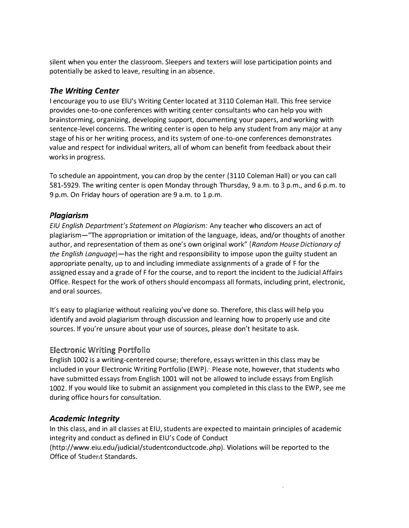silent when you enter the classroom. Sleepers and texters will lose participation points and potentially be asked to leave, resulting in an absence.

### The Writing Center

I encourage you to use EIU's Writing Center located at 3110 Coleman Hall. This free service provides one-to-one conferences with writing center consultants who can help you with brainstorming, organizing, developing support, documenting your papers, and working with sentence-level concerns. The writing center is open to help any student from any major at any stage of his or her writing process, and its system of one-to-one conferences demonstrates value and respect for individual writers, all of whom can benefit from feedback about their works in progress.

To schedule an appointment, you can drop by the center (3110 Coleman Hall) or you can call 581-5929. The writing center is open Monday through Thursday, 9 a.m. to 3 p.m., and 6 p.m. to 9 p.m. On Friday hours of operation are 9 a.m. to 1 p.m.

### Plagiarism

EIU English Department's Statement on Plagiarism: Any teacher who discovers an act of plagiarism-"The appropriation or imitation of the language, ideas, and/or thoughts of another author, and representation of them as one's own original work" (Random House Dictionary of the English Language)—has the right and responsibility to impose upon the guilty student an appropriate penalty, up to and including immediate assignments of a grade of F for the assigned essay and a grade of F for the course, and to report the incident to the Judicial Affairs Office. Respect for the work of others should encompass all formats, including print, electronic, and oral sources.

It's easy to plagiarize without realizing you've done so. Therefore, this class will help you identify and avoid plagiarism through discussion and learning how to properly use and cite sources. If you're unsure about your use of sources, please don't hesitate to ask.

#### **Electronic Writing Portfolio**

English 1002 is a writing-centered course; therefore, essays written in this class may be included in your Electronic Writing Portfolio (EWP). Please note, however, that students who have submitted essays from English 1001 will not be allowed to include essays from English 1002. If you would like to submit an assignment you completed in this class to the EWP, see me during office hours for consultation.

## Academic Integrity

In this class, and in all classes at EIU, students are expected to maintain principles of academic integrity and conduct as defined in EIU's Code of Conduct

(http://www.eiu.edu/judicial/studentconductcode.php). Violations will be reported to the Office of Student Standards.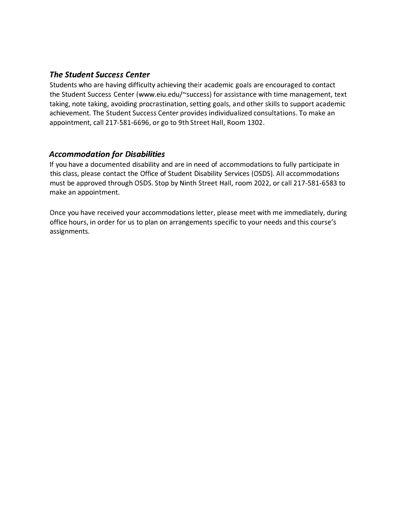#### The Student Success Center

Students who are having difficulty achieving their academic goals are encouraged to contact the Student Success Center (www.eiu.edu/~success) for assistance with time management, text taking, note taking, avoiding procrastination, setting goals, and other skills to support academic achievement. The Student Success Center provides individualized consultations. To make an appointment, call 217-581-6696, or go to 9th Street Hall, Room 1302.

#### Accommodation for Disabilities

If you have a documented disability and are in need of accommodations to fully participate in this class, please contact the Office of Student Disability Services (OSDS). All accommodations must be approved through OSDS. Stop by Ninth Street Hall, room 2022, or call 217-581-6583 to make an appointment.

Once you have received your accommodations letter, please meet with me immediately, during office hours, in order for us to plan on arrangements specific to your needs and this course's assignments.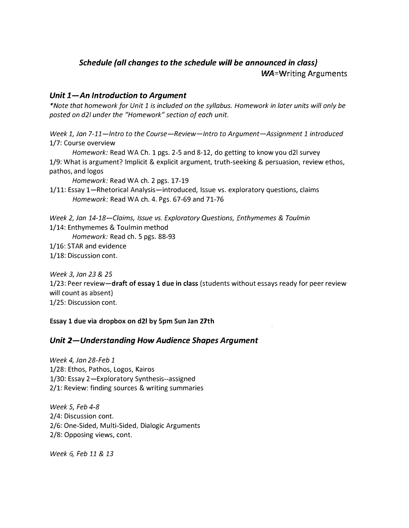# Schedule (all changes to the schedule will be announced in class) WA=Writing Arguments

### Unit  $1 - A$ n Introduction to Argument

\*Note that homework for Unit 1 is included on the syllabus. Homework in later units will only be posted on d21 under the "Homework" section of each unit.

Week 1, Jan 7-11-Intro to the Course-Review-Intro to Argument-Assignment 1 introduced 1/7: Course overview

Homework: Read WA Ch. 1 pgs. 2-5 and 8-12, do getting to know you d21 survey 1/9: What is argument? Implicit & explicit argument, truth-seeking & persuasion, review ethos, pathos, and logos

Homework: Read WA ch. 2 pgs. 17-19

1/11: Essay 1-Rhetorical Analysis-introduced, Issue vs. exploratory questions, claims Homework: Read WA ch. 4. Pgs. 67-69 and 71-76

Week 2, Jan 14-18-Claims, Issue vs. Exploratory Questions, Enthymemes & Toulmin 1/14: Enthymemes & Toulmin method

Homework: Read ch. 5 pgs. 88-93

1/16: STAR and evidence

1/18: Discussion cont.

Week 3, Jan 23 & 25

1/23: Peer review-draft of essay 1 due in class (students without essays ready for peer review will count as absent)

1/25: Discussion cont.

Essay 1 due via dropbox on d21 by Spm Sun Jan 27th

#### Unit 2-Understanding How Audience Shapes Argument

Week 4, Jan 28-Feb 1 1/28: Ethos, Pathos, Logos, Kairos 1/30: Essay 2-Exploratory Synthesis--assigned 2/1: Review: finding sources & writing summaries

Week 5, Feb 4-8 2/4: Discussion cont. 2/6: One-Sided, Multi-Sided, Dialogic Arguments 2/8: Opposing views, cont.

Week 6, Feb 11 & 13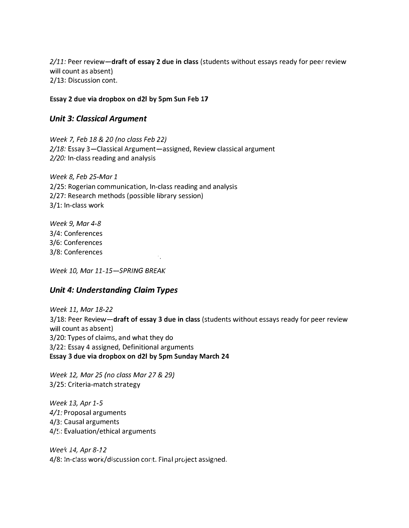$2/11$ : Peer review-draft of essay 2 due in class (students without essays ready for peer review will count as absent) 2/13: Discussion cont.

#### Essay 2 due via dropbox on d21 by Spm Sun Feb 17

#### Unit 3: Classical Argument

Week 7, Feb 18 & 20 (no class Feb 22) 2/18: Essay 3-Classical Argument-assigned, Review classical argument 2/20: In-class reading and analysis

Week 8, Feb 25-Mar 1 2/25: Rogerian communication, In-class reading and analysis 2/27: Research methods (possible library session) 3/1: In-class work

Week 9, Mar 4-8 3/4: Conferences 3/6: Conferences 3/8: Conferences

Week 10, Mar 11-15-SPRING BREAK

#### Unit 4: Understanding Claim Types

Week 11, Mar 18-22 3/18: Peer Review-draft of essay 3 due in class (students without essays ready for peer review will count as absent) 3/20: Types of claims, and what they do 3/22: Essay 4 assigned, Definitional arguments Essay 3 due via dropbox on d21 by Spm Sunday March 24

Week 12, Mar 25 (no class Mar 27 & 29} 3/25: Criteria-match strategy

Week 13, Apr 1-5 4/1: Proposal arguments 4/3: Causal arguments  $4/5$ : Evaluation/ethical arguments

Wee� 14, Apr 8-12 4/8: In-class work/discussion cont. Final project assigned.